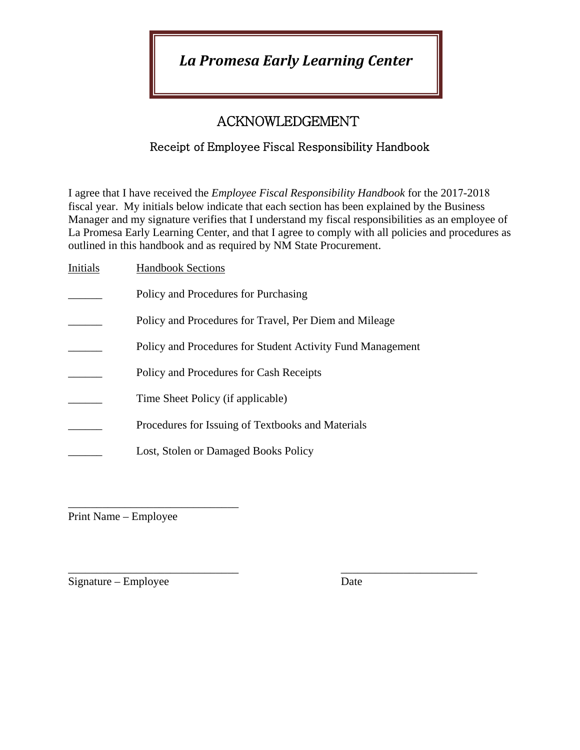*La Promesa Early Learning Center*

# ACKNOWLEDGEMENT

## Receipt of Employee Fiscal Responsibility Handbook

I agree that I have received the *Employee Fiscal Responsibility Handbook* for the 2017-2018 fiscal year. My initials below indicate that each section has been explained by the Business Manager and my signature verifies that I understand my fiscal responsibilities as an employee of La Promesa Early Learning Center, and that I agree to comply with all policies and procedures as outlined in this handbook and as required by NM State Procurement.

| Initials | <b>Handbook Sections</b>                                   |
|----------|------------------------------------------------------------|
|          | Policy and Procedures for Purchasing                       |
|          | Policy and Procedures for Travel, Per Diem and Mileage     |
|          | Policy and Procedures for Student Activity Fund Management |
|          | Policy and Procedures for Cash Receipts                    |
|          | Time Sheet Policy (if applicable)                          |
|          | Procedures for Issuing of Textbooks and Materials          |
|          | Lost, Stolen or Damaged Books Policy                       |
|          |                                                            |

\_\_\_\_\_\_\_\_\_\_\_\_\_\_\_\_\_\_\_\_\_\_\_\_\_\_\_\_\_\_ Print Name – Employee

\_\_\_\_\_\_\_\_\_\_\_\_\_\_\_\_\_\_\_\_\_\_\_\_\_\_\_\_\_\_ \_\_\_\_\_\_\_\_\_\_\_\_\_\_\_\_\_\_\_\_\_\_\_\_  $Signature - Employee$  Date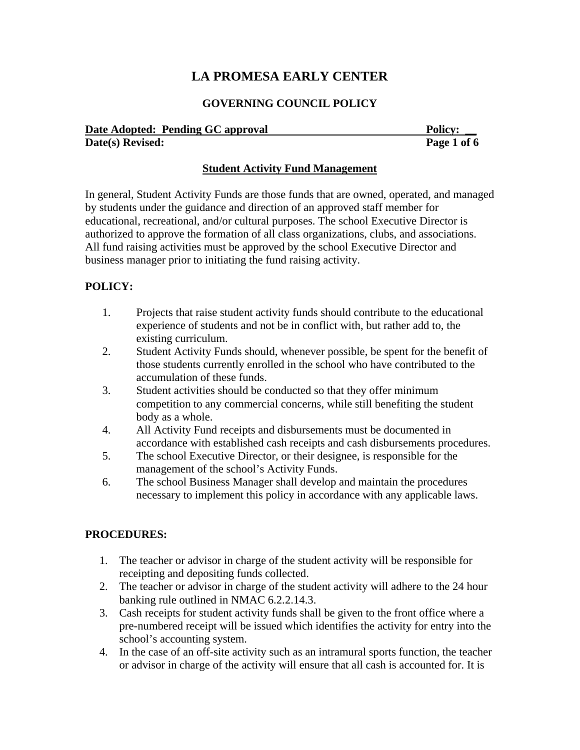## **LA PROMESA EARLY CENTER**

#### **GOVERNING COUNCIL POLICY**

| Date Adopted: Pending GC approval | <b>Policy:</b> |
|-----------------------------------|----------------|
| Date(s) Revised:                  | Page 1 of 6    |

#### **Student Activity Fund Management**

In general, Student Activity Funds are those funds that are owned, operated, and managed by students under the guidance and direction of an approved staff member for educational, recreational, and/or cultural purposes. The school Executive Director is authorized to approve the formation of all class organizations, clubs, and associations. All fund raising activities must be approved by the school Executive Director and business manager prior to initiating the fund raising activity.

#### **POLICY:**

- 1. Projects that raise student activity funds should contribute to the educational experience of students and not be in conflict with, but rather add to, the existing curriculum.
- 2. Student Activity Funds should, whenever possible, be spent for the benefit of those students currently enrolled in the school who have contributed to the accumulation of these funds.
- 3. Student activities should be conducted so that they offer minimum competition to any commercial concerns, while still benefiting the student body as a whole.
- 4. All Activity Fund receipts and disbursements must be documented in accordance with established cash receipts and cash disbursements procedures.
- 5. The school Executive Director, or their designee, is responsible for the management of the school's Activity Funds.
- 6. The school Business Manager shall develop and maintain the procedures necessary to implement this policy in accordance with any applicable laws.

#### **PROCEDURES:**

- 1. The teacher or advisor in charge of the student activity will be responsible for receipting and depositing funds collected.
- 2. The teacher or advisor in charge of the student activity will adhere to the 24 hour banking rule outlined in NMAC 6.2.2.14.3.
- 3. Cash receipts for student activity funds shall be given to the front office where a pre-numbered receipt will be issued which identifies the activity for entry into the school's accounting system.
- 4. In the case of an off-site activity such as an intramural sports function, the teacher or advisor in charge of the activity will ensure that all cash is accounted for. It is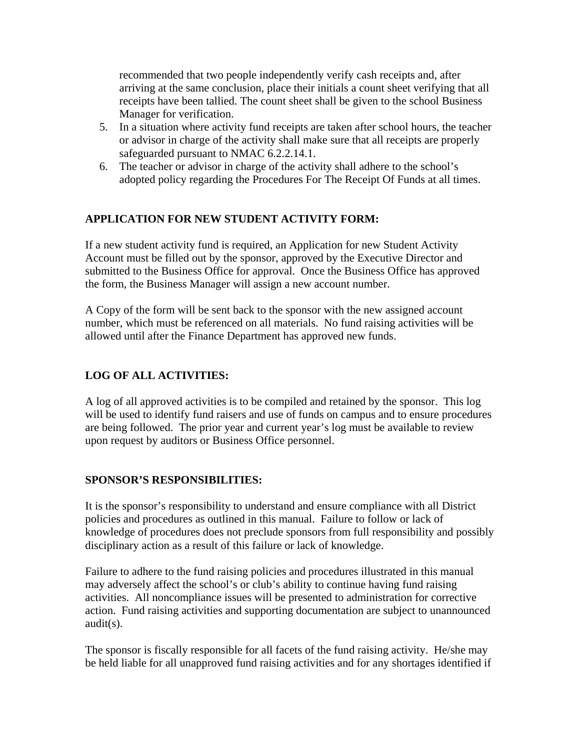recommended that two people independently verify cash receipts and, after arriving at the same conclusion, place their initials a count sheet verifying that all receipts have been tallied. The count sheet shall be given to the school Business Manager for verification.

- 5. In a situation where activity fund receipts are taken after school hours, the teacher or advisor in charge of the activity shall make sure that all receipts are properly safeguarded pursuant to NMAC 6.2.2.14.1.
- 6. The teacher or advisor in charge of the activity shall adhere to the school's adopted policy regarding the Procedures For The Receipt Of Funds at all times.

#### **APPLICATION FOR NEW STUDENT ACTIVITY FORM:**

If a new student activity fund is required, an Application for new Student Activity Account must be filled out by the sponsor, approved by the Executive Director and submitted to the Business Office for approval. Once the Business Office has approved the form, the Business Manager will assign a new account number.

A Copy of the form will be sent back to the sponsor with the new assigned account number, which must be referenced on all materials. No fund raising activities will be allowed until after the Finance Department has approved new funds.

### **LOG OF ALL ACTIVITIES:**

A log of all approved activities is to be compiled and retained by the sponsor. This log will be used to identify fund raisers and use of funds on campus and to ensure procedures are being followed. The prior year and current year's log must be available to review upon request by auditors or Business Office personnel.

#### **SPONSOR'S RESPONSIBILITIES:**

It is the sponsor's responsibility to understand and ensure compliance with all District policies and procedures as outlined in this manual. Failure to follow or lack of knowledge of procedures does not preclude sponsors from full responsibility and possibly disciplinary action as a result of this failure or lack of knowledge.

Failure to adhere to the fund raising policies and procedures illustrated in this manual may adversely affect the school's or club's ability to continue having fund raising activities. All noncompliance issues will be presented to administration for corrective action. Fund raising activities and supporting documentation are subject to unannounced audit(s).

The sponsor is fiscally responsible for all facets of the fund raising activity. He/she may be held liable for all unapproved fund raising activities and for any shortages identified if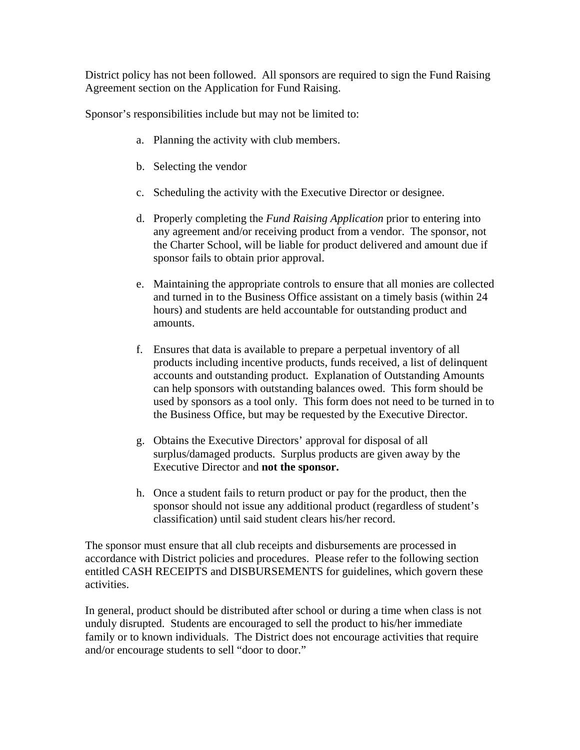District policy has not been followed. All sponsors are required to sign the Fund Raising Agreement section on the Application for Fund Raising.

Sponsor's responsibilities include but may not be limited to:

- a. Planning the activity with club members.
- b. Selecting the vendor
- c. Scheduling the activity with the Executive Director or designee.
- d. Properly completing the *Fund Raising Application* prior to entering into any agreement and/or receiving product from a vendor. The sponsor, not the Charter School, will be liable for product delivered and amount due if sponsor fails to obtain prior approval.
- e. Maintaining the appropriate controls to ensure that all monies are collected and turned in to the Business Office assistant on a timely basis (within 24 hours) and students are held accountable for outstanding product and amounts.
- f. Ensures that data is available to prepare a perpetual inventory of all products including incentive products, funds received, a list of delinquent accounts and outstanding product. Explanation of Outstanding Amounts can help sponsors with outstanding balances owed. This form should be used by sponsors as a tool only. This form does not need to be turned in to the Business Office, but may be requested by the Executive Director.
- g. Obtains the Executive Directors' approval for disposal of all surplus/damaged products. Surplus products are given away by the Executive Director and **not the sponsor.**
- h. Once a student fails to return product or pay for the product, then the sponsor should not issue any additional product (regardless of student's classification) until said student clears his/her record.

The sponsor must ensure that all club receipts and disbursements are processed in accordance with District policies and procedures. Please refer to the following section entitled CASH RECEIPTS and DISBURSEMENTS for guidelines, which govern these activities.

In general, product should be distributed after school or during a time when class is not unduly disrupted. Students are encouraged to sell the product to his/her immediate family or to known individuals. The District does not encourage activities that require and/or encourage students to sell "door to door."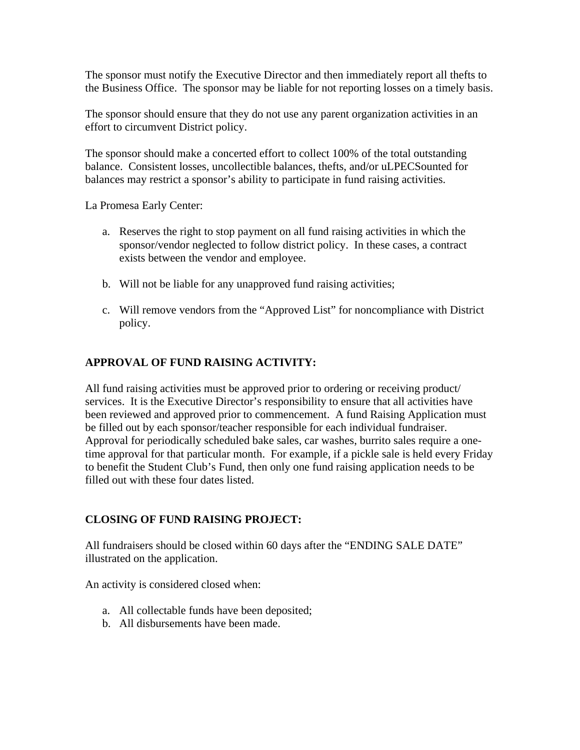The sponsor must notify the Executive Director and then immediately report all thefts to the Business Office. The sponsor may be liable for not reporting losses on a timely basis.

The sponsor should ensure that they do not use any parent organization activities in an effort to circumvent District policy.

The sponsor should make a concerted effort to collect 100% of the total outstanding balance. Consistent losses, uncollectible balances, thefts, and/or uLPECSounted for balances may restrict a sponsor's ability to participate in fund raising activities.

La Promesa Early Center:

- a. Reserves the right to stop payment on all fund raising activities in which the sponsor/vendor neglected to follow district policy. In these cases, a contract exists between the vendor and employee.
- b. Will not be liable for any unapproved fund raising activities;
- c. Will remove vendors from the "Approved List" for noncompliance with District policy.

#### **APPROVAL OF FUND RAISING ACTIVITY:**

All fund raising activities must be approved prior to ordering or receiving product/ services. It is the Executive Director's responsibility to ensure that all activities have been reviewed and approved prior to commencement. A fund Raising Application must be filled out by each sponsor/teacher responsible for each individual fundraiser. Approval for periodically scheduled bake sales, car washes, burrito sales require a onetime approval for that particular month. For example, if a pickle sale is held every Friday to benefit the Student Club's Fund, then only one fund raising application needs to be filled out with these four dates listed.

#### **CLOSING OF FUND RAISING PROJECT:**

All fundraisers should be closed within 60 days after the "ENDING SALE DATE" illustrated on the application.

An activity is considered closed when:

- a. All collectable funds have been deposited;
- b. All disbursements have been made.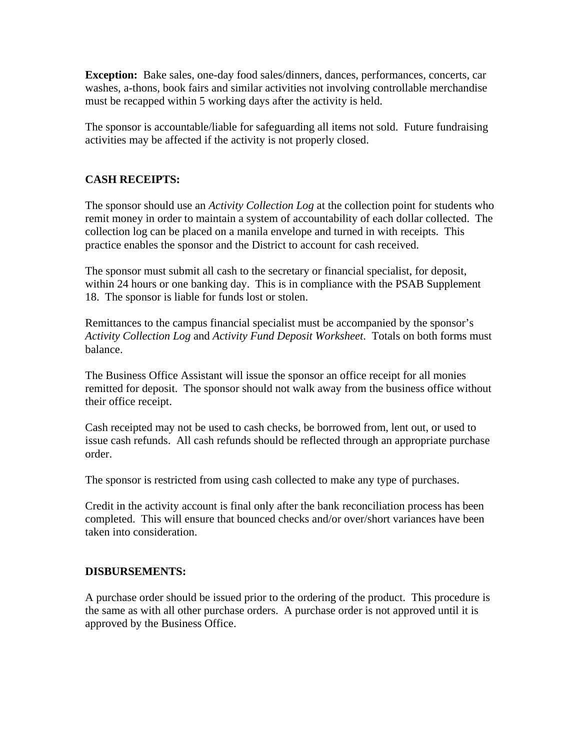**Exception:** Bake sales, one-day food sales/dinners, dances, performances, concerts, car washes, a-thons, book fairs and similar activities not involving controllable merchandise must be recapped within 5 working days after the activity is held.

The sponsor is accountable/liable for safeguarding all items not sold. Future fundraising activities may be affected if the activity is not properly closed.

#### **CASH RECEIPTS:**

The sponsor should use an *Activity Collection Log* at the collection point for students who remit money in order to maintain a system of accountability of each dollar collected. The collection log can be placed on a manila envelope and turned in with receipts. This practice enables the sponsor and the District to account for cash received.

The sponsor must submit all cash to the secretary or financial specialist, for deposit, within 24 hours or one banking day. This is in compliance with the PSAB Supplement 18. The sponsor is liable for funds lost or stolen.

Remittances to the campus financial specialist must be accompanied by the sponsor's *Activity Collection Log* and *Activity Fund Deposit Worksheet*. Totals on both forms must balance.

The Business Office Assistant will issue the sponsor an office receipt for all monies remitted for deposit. The sponsor should not walk away from the business office without their office receipt.

Cash receipted may not be used to cash checks, be borrowed from, lent out, or used to issue cash refunds. All cash refunds should be reflected through an appropriate purchase order.

The sponsor is restricted from using cash collected to make any type of purchases.

Credit in the activity account is final only after the bank reconciliation process has been completed. This will ensure that bounced checks and/or over/short variances have been taken into consideration.

#### **DISBURSEMENTS:**

A purchase order should be issued prior to the ordering of the product. This procedure is the same as with all other purchase orders. A purchase order is not approved until it is approved by the Business Office.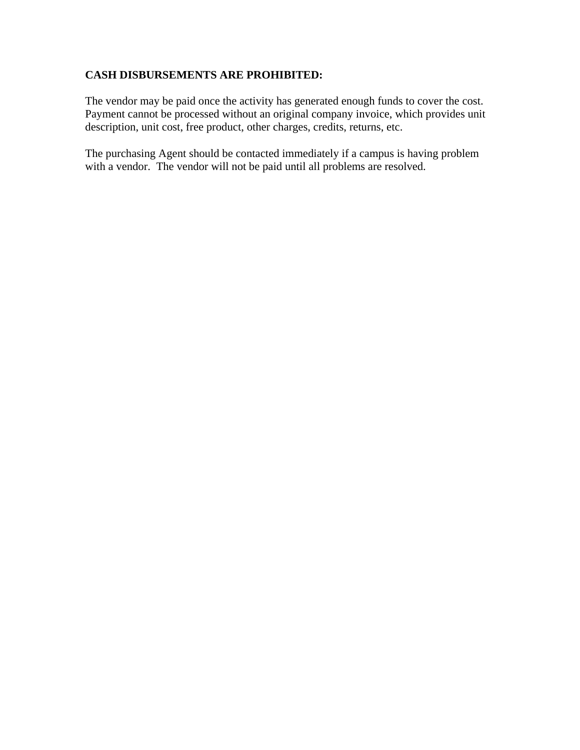#### **CASH DISBURSEMENTS ARE PROHIBITED:**

The vendor may be paid once the activity has generated enough funds to cover the cost. Payment cannot be processed without an original company invoice, which provides unit description, unit cost, free product, other charges, credits, returns, etc.

The purchasing Agent should be contacted immediately if a campus is having problem with a vendor. The vendor will not be paid until all problems are resolved.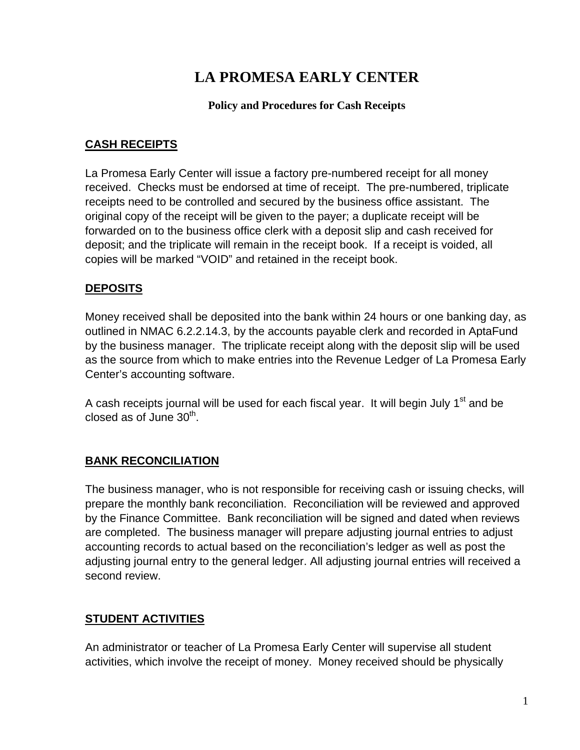# **LA PROMESA EARLY CENTER**

#### **Policy and Procedures for Cash Receipts**

## **CASH RECEIPTS**

La Promesa Early Center will issue a factory pre-numbered receipt for all money received. Checks must be endorsed at time of receipt. The pre-numbered, triplicate receipts need to be controlled and secured by the business office assistant. The original copy of the receipt will be given to the payer; a duplicate receipt will be forwarded on to the business office clerk with a deposit slip and cash received for deposit; and the triplicate will remain in the receipt book. If a receipt is voided, all copies will be marked "VOID" and retained in the receipt book.

## **DEPOSITS**

Money received shall be deposited into the bank within 24 hours or one banking day, as outlined in NMAC 6.2.2.14.3, by the accounts payable clerk and recorded in AptaFund by the business manager. The triplicate receipt along with the deposit slip will be used as the source from which to make entries into the Revenue Ledger of La Promesa Early Center's accounting software.

A cash receipts journal will be used for each fiscal year. It will begin July 1<sup>st</sup> and be closed as of June  $30<sup>th</sup>$ .

## **BANK RECONCILIATION**

The business manager, who is not responsible for receiving cash or issuing checks, will prepare the monthly bank reconciliation. Reconciliation will be reviewed and approved by the Finance Committee. Bank reconciliation will be signed and dated when reviews are completed. The business manager will prepare adjusting journal entries to adjust accounting records to actual based on the reconciliation's ledger as well as post the adjusting journal entry to the general ledger. All adjusting journal entries will received a second review.

## **STUDENT ACTIVITIES**

An administrator or teacher of La Promesa Early Center will supervise all student activities, which involve the receipt of money. Money received should be physically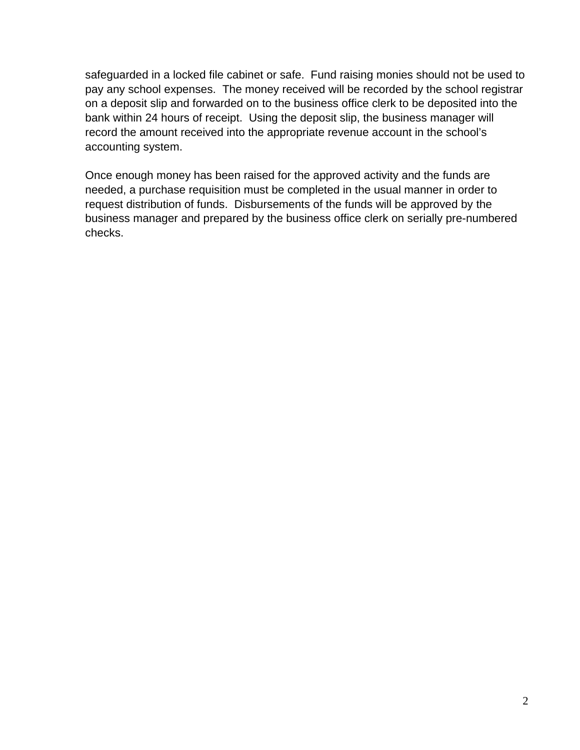safeguarded in a locked file cabinet or safe. Fund raising monies should not be used to pay any school expenses. The money received will be recorded by the school registrar on a deposit slip and forwarded on to the business office clerk to be deposited into the bank within 24 hours of receipt. Using the deposit slip, the business manager will record the amount received into the appropriate revenue account in the school's accounting system.

Once enough money has been raised for the approved activity and the funds are needed, a purchase requisition must be completed in the usual manner in order to request distribution of funds. Disbursements of the funds will be approved by the business manager and prepared by the business office clerk on serially pre-numbered checks.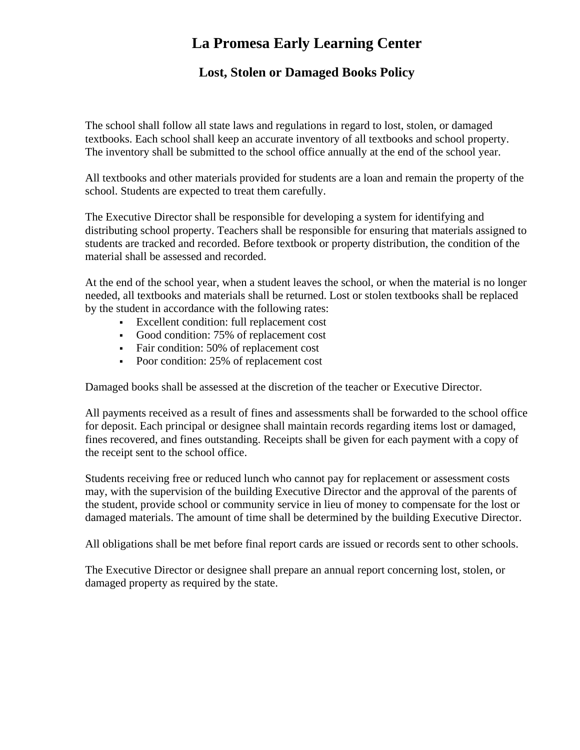# **La Promesa Early Learning Center**

## **Lost, Stolen or Damaged Books Policy**

The school shall follow all state laws and regulations in regard to lost, stolen, or damaged textbooks. Each school shall keep an accurate inventory of all textbooks and school property. The inventory shall be submitted to the school office annually at the end of the school year.

All textbooks and other materials provided for students are a loan and remain the property of the school. Students are expected to treat them carefully.

The Executive Director shall be responsible for developing a system for identifying and distributing school property. Teachers shall be responsible for ensuring that materials assigned to students are tracked and recorded. Before textbook or property distribution, the condition of the material shall be assessed and recorded.

At the end of the school year, when a student leaves the school, or when the material is no longer needed, all textbooks and materials shall be returned. Lost or stolen textbooks shall be replaced by the student in accordance with the following rates:

- Excellent condition: full replacement cost
- Good condition: 75% of replacement cost
- Fair condition: 50% of replacement cost
- Poor condition: 25% of replacement cost

Damaged books shall be assessed at the discretion of the teacher or Executive Director.

All payments received as a result of fines and assessments shall be forwarded to the school office for deposit. Each principal or designee shall maintain records regarding items lost or damaged, fines recovered, and fines outstanding. Receipts shall be given for each payment with a copy of the receipt sent to the school office.

Students receiving free or reduced lunch who cannot pay for replacement or assessment costs may, with the supervision of the building Executive Director and the approval of the parents of the student, provide school or community service in lieu of money to compensate for the lost or damaged materials. The amount of time shall be determined by the building Executive Director.

All obligations shall be met before final report cards are issued or records sent to other schools.

The Executive Director or designee shall prepare an annual report concerning lost, stolen, or damaged property as required by the state.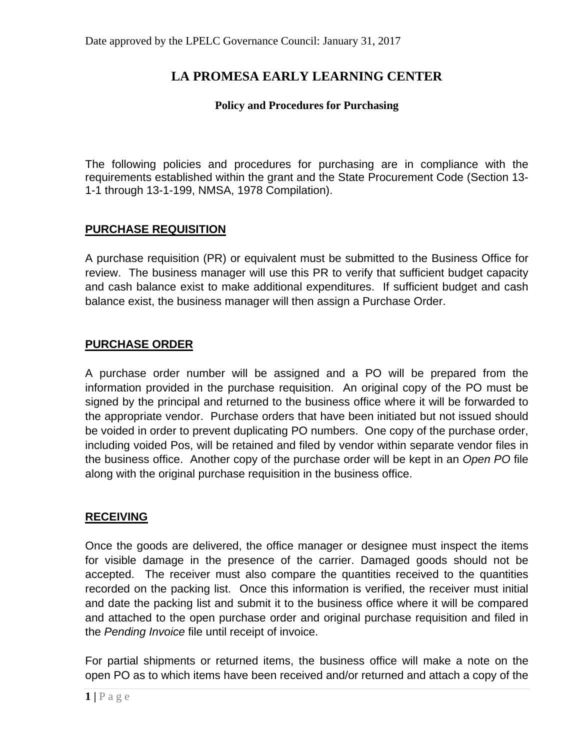## **LA PROMESA EARLY LEARNING CENTER**

#### **Policy and Procedures for Purchasing**

The following policies and procedures for purchasing are in compliance with the requirements established within the grant and the State Procurement Code (Section 13- 1-1 through 13-1-199, NMSA, 1978 Compilation).

### **PURCHASE REQUISITION**

A purchase requisition (PR) or equivalent must be submitted to the Business Office for review. The business manager will use this PR to verify that sufficient budget capacity and cash balance exist to make additional expenditures. If sufficient budget and cash balance exist, the business manager will then assign a Purchase Order.

#### **PURCHASE ORDER**

A purchase order number will be assigned and a PO will be prepared from the information provided in the purchase requisition. An original copy of the PO must be signed by the principal and returned to the business office where it will be forwarded to the appropriate vendor. Purchase orders that have been initiated but not issued should be voided in order to prevent duplicating PO numbers. One copy of the purchase order, including voided Pos, will be retained and filed by vendor within separate vendor files in the business office. Another copy of the purchase order will be kept in an *Open PO* file along with the original purchase requisition in the business office.

### **RECEIVING**

Once the goods are delivered, the office manager or designee must inspect the items for visible damage in the presence of the carrier. Damaged goods should not be accepted. The receiver must also compare the quantities received to the quantities recorded on the packing list. Once this information is verified, the receiver must initial and date the packing list and submit it to the business office where it will be compared and attached to the open purchase order and original purchase requisition and filed in the *Pending Invoice* file until receipt of invoice.

For partial shipments or returned items, the business office will make a note on the open PO as to which items have been received and/or returned and attach a copy of the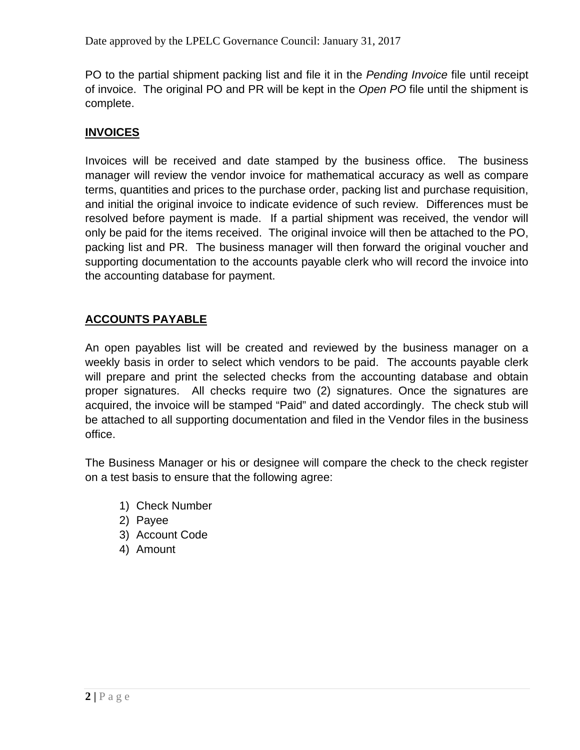PO to the partial shipment packing list and file it in the *Pending Invoice* file until receipt of invoice. The original PO and PR will be kept in the *Open PO* file until the shipment is complete.

## **INVOICES**

Invoices will be received and date stamped by the business office. The business manager will review the vendor invoice for mathematical accuracy as well as compare terms, quantities and prices to the purchase order, packing list and purchase requisition, and initial the original invoice to indicate evidence of such review. Differences must be resolved before payment is made. If a partial shipment was received, the vendor will only be paid for the items received. The original invoice will then be attached to the PO, packing list and PR. The business manager will then forward the original voucher and supporting documentation to the accounts payable clerk who will record the invoice into the accounting database for payment.

## **ACCOUNTS PAYABLE**

An open payables list will be created and reviewed by the business manager on a weekly basis in order to select which vendors to be paid. The accounts payable clerk will prepare and print the selected checks from the accounting database and obtain proper signatures. All checks require two (2) signatures. Once the signatures are acquired, the invoice will be stamped "Paid" and dated accordingly. The check stub will be attached to all supporting documentation and filed in the Vendor files in the business office.

The Business Manager or his or designee will compare the check to the check register on a test basis to ensure that the following agree:

- 1) Check Number
- 2) Payee
- 3) Account Code
- 4) Amount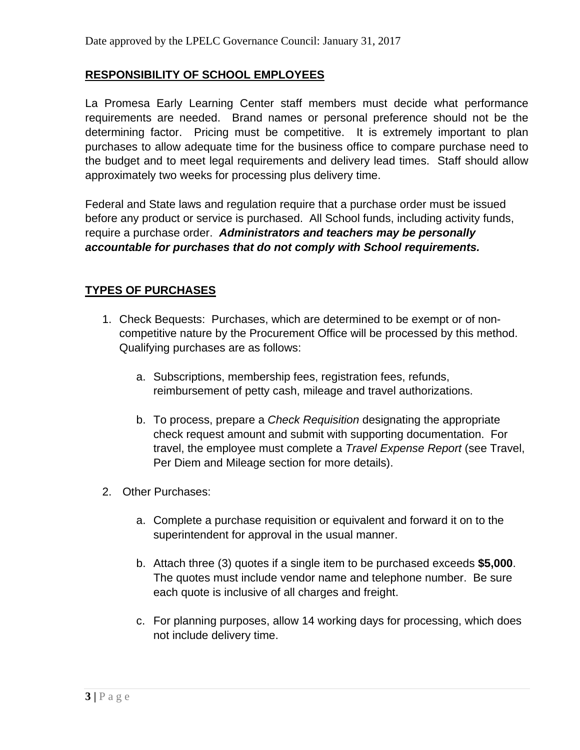### **RESPONSIBILITY OF SCHOOL EMPLOYEES**

La Promesa Early Learning Center staff members must decide what performance requirements are needed. Brand names or personal preference should not be the determining factor. Pricing must be competitive. It is extremely important to plan purchases to allow adequate time for the business office to compare purchase need to the budget and to meet legal requirements and delivery lead times. Staff should allow approximately two weeks for processing plus delivery time.

Federal and State laws and regulation require that a purchase order must be issued before any product or service is purchased. All School funds, including activity funds, require a purchase order. *Administrators and teachers may be personally accountable for purchases that do not comply with School requirements.*

### **TYPES OF PURCHASES**

- 1. Check Bequests: Purchases, which are determined to be exempt or of noncompetitive nature by the Procurement Office will be processed by this method. Qualifying purchases are as follows:
	- a. Subscriptions, membership fees, registration fees, refunds, reimbursement of petty cash, mileage and travel authorizations.
	- b. To process, prepare a *Check Requisition* designating the appropriate check request amount and submit with supporting documentation. For travel, the employee must complete a *Travel Expense Report* (see Travel, Per Diem and Mileage section for more details).
- 2. Other Purchases:
	- a. Complete a purchase requisition or equivalent and forward it on to the superintendent for approval in the usual manner.
	- b. Attach three (3) quotes if a single item to be purchased exceeds **\$5,000**. The quotes must include vendor name and telephone number. Be sure each quote is inclusive of all charges and freight.
	- c. For planning purposes, allow 14 working days for processing, which does not include delivery time.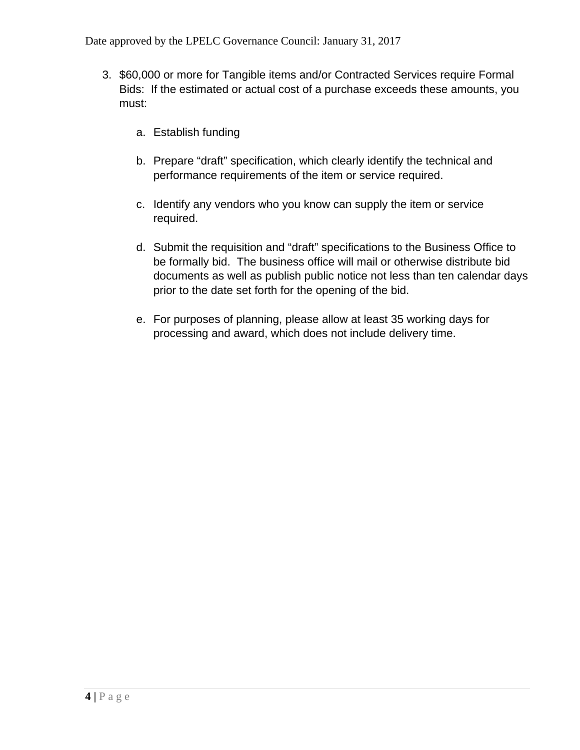- 3. \$60,000 or more for Tangible items and/or Contracted Services require Formal Bids: If the estimated or actual cost of a purchase exceeds these amounts, you must:
	- a. Establish funding
	- b. Prepare "draft" specification, which clearly identify the technical and performance requirements of the item or service required.
	- c. Identify any vendors who you know can supply the item or service required.
	- d. Submit the requisition and "draft" specifications to the Business Office to be formally bid. The business office will mail or otherwise distribute bid documents as well as publish public notice not less than ten calendar days prior to the date set forth for the opening of the bid.
	- e. For purposes of planning, please allow at least 35 working days for processing and award, which does not include delivery time.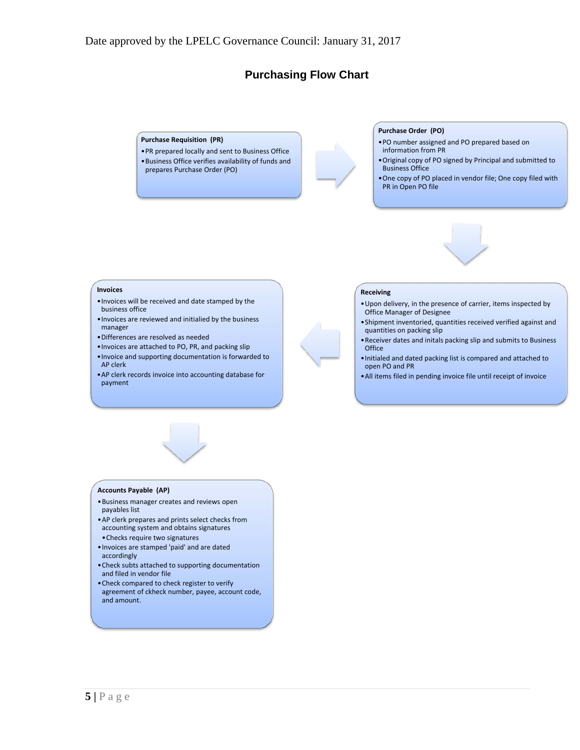### **Purchasing Flow Chart**

#### **Purchase Requisition (PR)**

•PR prepared locally and sent to Business Office •Business Office verifies availability of funds and prepares Purchase Order (PO)

#### **Purchase Order (PO)**

- •PO number assigned and PO prepared based on information from PR
- •Original copy of PO signed by Principal and submitted to Business Office
- •One copy of PO placed in vendor file; One copy filed with PR in Open PO file



#### **Invoices**

- •Invoices will be received and date stamped by the business office
- •Invoices are reviewed and initialied by the business manager
- •Differences are resolved as needed
- •Invoices are attached to PO, PR, and packing slip
- •Invoice and supporting documentation is forwarded to AP clerk
- •AP clerk records invoice into accounting database for payment

#### **Receiving**

- •Upon delivery, in the presence of carrier, items inspected by Office Manager of Designee
- •Shipment inventoried, quantities received verified against and quantities on packing slip
- •Receiver dates and initals packing slip and submits to Business **Office**
- •Initialed and dated packing list is compared and attached to open PO and PR
- •All items filed in pending invoice file until receipt of invoice

#### **Accounts Payable (AP)**

- •Business manager creates and reviews open payables list
- •AP clerk prepares and prints select checks from accounting system and obtains signatures
- •Checks require two signatures •Invoices are stamped 'paid' and are dated accordingly
- •Check subts attached to supporting documentation and filed in vendor file
- •Check compared to check register to verify agreement of ckheck number, payee, account code, and amount.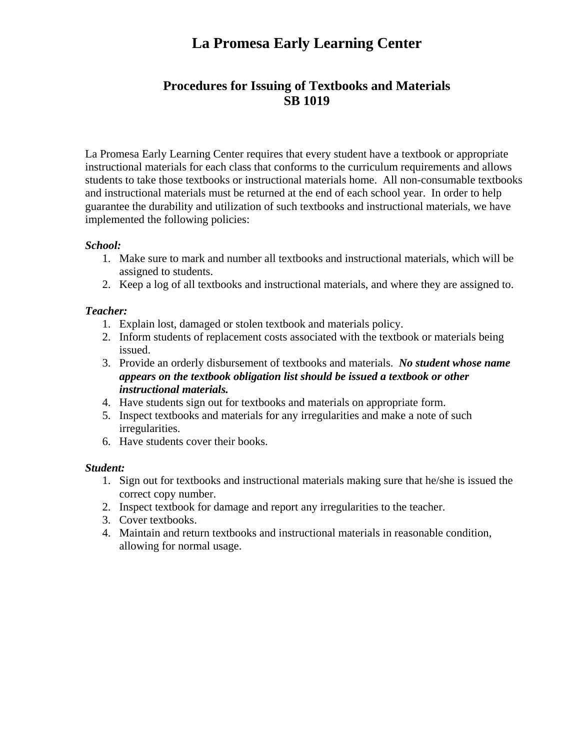# **La Promesa Early Learning Center**

## **Procedures for Issuing of Textbooks and Materials SB 1019**

La Promesa Early Learning Center requires that every student have a textbook or appropriate instructional materials for each class that conforms to the curriculum requirements and allows students to take those textbooks or instructional materials home. All non-consumable textbooks and instructional materials must be returned at the end of each school year. In order to help guarantee the durability and utilization of such textbooks and instructional materials, we have implemented the following policies:

#### *School:*

- 1. Make sure to mark and number all textbooks and instructional materials, which will be assigned to students.
- 2. Keep a log of all textbooks and instructional materials, and where they are assigned to.

#### *Teacher:*

- 1. Explain lost, damaged or stolen textbook and materials policy.
- 2. Inform students of replacement costs associated with the textbook or materials being issued.
- 3. Provide an orderly disbursement of textbooks and materials. *No student whose name appears on the textbook obligation list should be issued a textbook or other instructional materials.*
- 4. Have students sign out for textbooks and materials on appropriate form.
- 5. Inspect textbooks and materials for any irregularities and make a note of such irregularities.
- 6. Have students cover their books.

#### *Student:*

- 1. Sign out for textbooks and instructional materials making sure that he/she is issued the correct copy number.
- 2. Inspect textbook for damage and report any irregularities to the teacher.
- 3. Cover textbooks.
- 4. Maintain and return textbooks and instructional materials in reasonable condition, allowing for normal usage.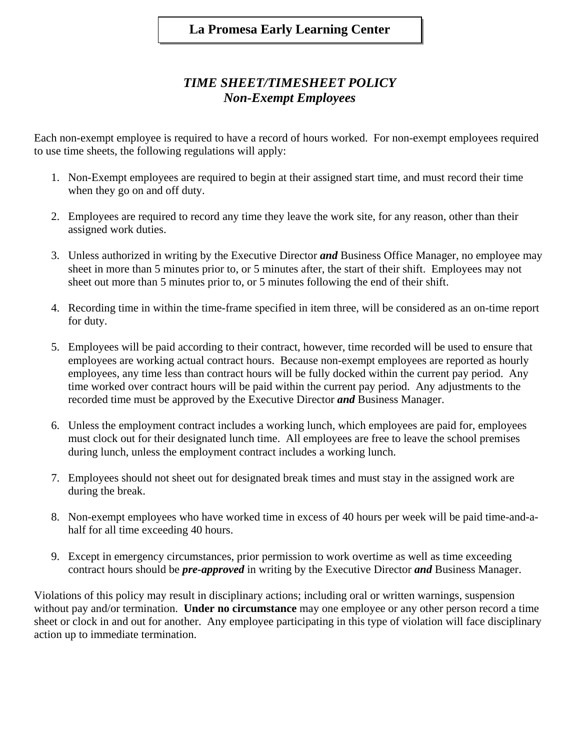## *TIME SHEET/TIMESHEET POLICY Non-Exempt Employees*

Each non-exempt employee is required to have a record of hours worked. For non-exempt employees required to use time sheets, the following regulations will apply:

- 1. Non-Exempt employees are required to begin at their assigned start time, and must record their time when they go on and off duty.
- 2. Employees are required to record any time they leave the work site, for any reason, other than their assigned work duties.
- 3. Unless authorized in writing by the Executive Director *and* Business Office Manager, no employee may sheet in more than 5 minutes prior to, or 5 minutes after, the start of their shift. Employees may not sheet out more than 5 minutes prior to, or 5 minutes following the end of their shift.
- 4. Recording time in within the time-frame specified in item three, will be considered as an on-time report for duty.
- 5. Employees will be paid according to their contract, however, time recorded will be used to ensure that employees are working actual contract hours. Because non-exempt employees are reported as hourly employees, any time less than contract hours will be fully docked within the current pay period. Any time worked over contract hours will be paid within the current pay period. Any adjustments to the recorded time must be approved by the Executive Director *and* Business Manager.
- 6. Unless the employment contract includes a working lunch, which employees are paid for, employees must clock out for their designated lunch time. All employees are free to leave the school premises during lunch, unless the employment contract includes a working lunch.
- 7. Employees should not sheet out for designated break times and must stay in the assigned work are during the break.
- 8. Non-exempt employees who have worked time in excess of 40 hours per week will be paid time-and-ahalf for all time exceeding 40 hours.
- 9. Except in emergency circumstances, prior permission to work overtime as well as time exceeding contract hours should be *pre-approved* in writing by the Executive Director *and* Business Manager.

Violations of this policy may result in disciplinary actions; including oral or written warnings, suspension without pay and/or termination. **Under no circumstance** may one employee or any other person record a time sheet or clock in and out for another. Any employee participating in this type of violation will face disciplinary action up to immediate termination.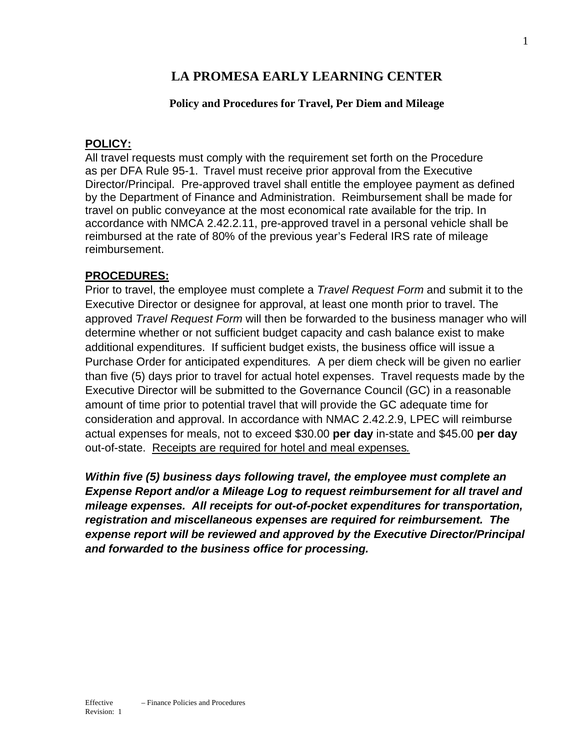## **LA PROMESA EARLY LEARNING CENTER**

#### **Policy and Procedures for Travel, Per Diem and Mileage**

#### **POLICY:**

All travel requests must comply with the requirement set forth on the Procedure as per DFA Rule 95-1. Travel must receive prior approval from the Executive Director/Principal. Pre-approved travel shall entitle the employee payment as defined by the Department of Finance and Administration. Reimbursement shall be made for travel on public conveyance at the most economical rate available for the trip. In accordance with NMCA 2.42.2.11, pre-approved travel in a personal vehicle shall be reimbursed at the rate of 80% of the previous year's Federal IRS rate of mileage reimbursement.

#### **PROCEDURES:**

Prior to travel, the employee must complete a *Travel Request Form* and submit it to the Executive Director or designee for approval, at least one month prior to travel. The approved *Travel Request Form* will then be forwarded to the business manager who will determine whether or not sufficient budget capacity and cash balance exist to make additional expenditures. If sufficient budget exists, the business office will issue a Purchase Order for anticipated expenditures*.* A per diem check will be given no earlier than five (5) days prior to travel for actual hotel expenses. Travel requests made by the Executive Director will be submitted to the Governance Council (GC) in a reasonable amount of time prior to potential travel that will provide the GC adequate time for consideration and approval. In accordance with NMAC 2.42.2.9, LPEC will reimburse actual expenses for meals, not to exceed \$30.00 **per day** in-state and \$45.00 **per day** out-of-state. Receipts are required for hotel and meal expenses*.*

*Within five (5) business days following travel, the employee must complete an Expense Report and/or a Mileage Log to request reimbursement for all travel and mileage expenses. All receipts for out-of-pocket expenditures for transportation, registration and miscellaneous expenses are required for reimbursement. The expense report will be reviewed and approved by the Executive Director/Principal and forwarded to the business office for processing.*